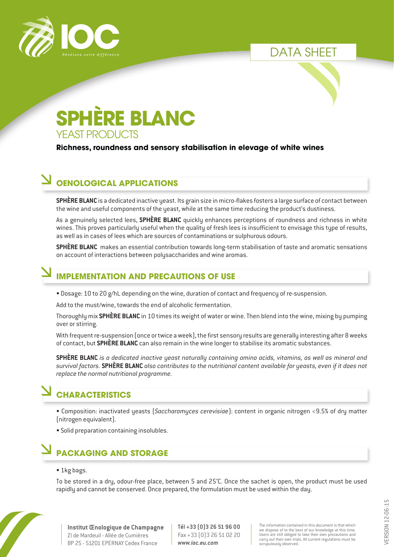

DATA SHEET

# **SPHÈRE BLANC** YEAST PRODUCTS

#### **Richness, roundness and sensory stabilisation in elevage of white wines**

## **OENOLOGICAL APPLICATIONS**

**SPHÈRE BLANC** is a dedicated inactive yeast. Its grain size in micro-flakes fosters a large surface of contact between the wine and useful components of the yeast, while at the same time reducing the product's dustiness.

As a genuinely selected lees, **SPHÈRE BLANC** quickly enhances perceptions of roundness and richness in white wines. This proves particularly useful when the quality of fresh lees is insufficient to envisage this type of results, as well as in cases of lees which are sources of contaminations or sulphurous odours.

**SPHÈRE BLANC** makes an essential contribution towards long-term stabilisation of taste and aromatic sensations on account of interactions between polysaccharides and wine aromas.

### **IMPLEMENTATION AND PRECAUTIONS OF USE**

• Dosage: 10 to 20 g/hL depending on the wine, duration of contact and frequency of re-suspension.

Add to the must/wine, towards the end of alcoholic fermentation.

Thoroughly mix **SPHÈRE BLANC** in 10 times its weight of water or wine. Then blend into the wine, mixing by pumping over or stirring.

With frequent re-suspension (once or twice a week), the first sensory results are generally interesting after 8 weeks of contact, but **SPHÈRE BLANC** can also remain in the wine longer to stabilise its aromatic substances.

**SPHÈRE BLANC** *is a dedicated inactive yeast naturally containing amino acids, vitamins, as well as mineral and survival factors.* **SPHÈRE BLANC** *also contributes to the nutritional content available for yeasts, even if it does not replace the normal nutritional programme.*

## **CHARACTERISTICS**

- Composition: inactivated yeasts (*Saccharomyces cerevisiae*): content in organic nitrogen <9.5% of dry matter (nitrogen equivalent).
- Solid preparation containing insolubles.

## **PACKAGING AND STORAGE**

#### • 1kg bags.

To be stored in a dry, odour-free place, between 5 and 25°C. Once the sachet is open, the product must be used rapidly and cannot be conserved. Once prepared, the formulation must be used within the day.



**Tél +33 (0)3 26 51 96 00** Fax +33 (0)3 26 51 02 20 *www.ioc.eu.com*